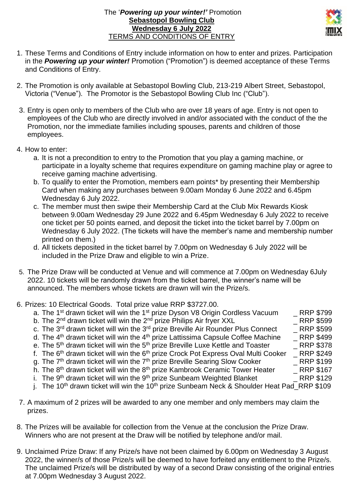## The '*Powering up your winter!'* Promotion **Sebastopol Bowling Club Wednesday 6 July 2022** TERMS AND CONDITIONS OF ENTRY



- 1. These Terms and Conditions of Entry include information on how to enter and prizes. Participation in the *Powering up your winter!* Promotion ("Promotion") is deemed acceptance of these Terms and Conditions of Entry.
- 2. The Promotion is only available at Sebastopol Bowling Club, 213-219 Albert Street, Sebastopol, Victoria ("Venue"). The Promotor is the Sebastopol Bowling Club Inc ("Club").
- 3. Entry is open only to members of the Club who are over 18 years of age. Entry is not open to employees of the Club who are directly involved in and/or associated with the conduct of the the Promotion, nor the immediate families including spouses, parents and children of those employees.
- 4. How to enter:
	- a. It is not a precondition to entry to the Promotion that you play a gaming machine, or participate in a loyalty scheme that requires expenditure on gaming machine play or agree to receive gaming machine advertising.
	- b. To qualify to enter the Promotion, members earn points\* by presenting their Membership Card when making any purchases between 9.00am Monday 6 June 2022 and 6.45pm Wednesday 6 July 2022.
	- c. The member must then swipe their Membership Card at the Club Mix Rewards Kiosk between 9.00am Wednesday 29 June 2022 and 6.45pm Wednesday 6 July 2022 to receive one ticket per 50 points earned, and deposit the ticket into the ticket barrel by 7.00pm on Wednesday 6 July 2022. (The tickets will have the member's name and membership number printed on them.)
	- d. All tickets deposited in the ticket barrel by 7.00pm on Wednesday 6 July 2022 will be included in the Prize Draw and eligible to win a Prize.
- 5. The Prize Draw will be conducted at Venue and will commence at 7.00pm on Wednesday 6July 2022. 10 tickets will be randomly drawn from the ticket barrel, the winner's name will be announced. The members whose tickets are drawn will win the Prize/s.
- 6. Prizes: 10 Electrical Goods. Total prize value RRP \$3727.00.
	- a. The 1<sup>st</sup> drawn ticket will win the 1<sup>st</sup> prize Dyson V8 Origin Cordless Vacuum \_ RRP \$799
	- b. The  $2^{nd}$  drawn ticket will win the  $2^{nd}$  prize Philips Air fryer XXL RRP \$599
	- c. The 3<sup>rd</sup> drawn ticket will win the 3<sup>rd</sup> prize Breville Air Rounder Plus Connect  $\qquad$  \_ RRP \$599
	- d. The 4<sup>th</sup> drawn ticket will win the 4<sup>th</sup> prize Lattissima Capsule Coffee Machine  $\overline{ }$  RRP \$499 e. The 5<sup>th</sup> drawn ticket will win the 5<sup>th</sup> prize Breville Luxe Kettle and Toaster RRP \$378
	- e. The 5<sup>th</sup> drawn ticket will win the 5<sup>th</sup> prize Breville Luxe Kettle and Toaster
	- f. The 6<sup>th</sup> drawn ticket will win the 6<sup>th</sup> prize Crock Pot Express Oval Multi Cooker  $\overline{\phantom{a}}$  RRP \$249
	- g. The  $7<sup>th</sup>$  drawn ticket will win the  $7<sup>th</sup>$  prize Breville Searing Slow Cooker RRP \$199
	- h. The 8th drawn ticket will win the 8th prize Kambrook Ceramic Tower Heater \_ RRP \$167
	- i. The 9<sup>th</sup> drawn ticket will win the 9<sup>th</sup> prize Sunbeam Weighted Blanket **Example 2018** RRP \$129
	- i. The 10<sup>th</sup> drawn ticket will win the 10<sup>th</sup> prize Sunbeam Neck & Shoulder Heat Pad RRP \$109
- 7. A maximum of 2 prizes will be awarded to any one member and only members may claim the prizes.
- 8. The Prizes will be available for collection from the Venue at the conclusion the Prize Draw. Winners who are not present at the Draw will be notified by telephone and/or mail.
- 9. Unclaimed Prize Draw: If any Prize/s have not been claimed by 6.00pm on Wednesday 3 August 2022, the winner/s of those Prize/s will be deemed to have forfeited any entitlement to the Prize/s. The unclaimed Prize/s will be distributed by way of a second Draw consisting of the original entries at 7.00pm Wednesday 3 August 2022.
- 
- 
- 
- 
- 
- 
- 
-